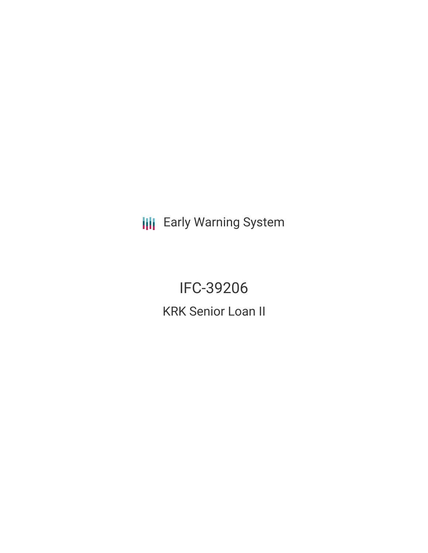**III** Early Warning System

IFC-39206 KRK Senior Loan II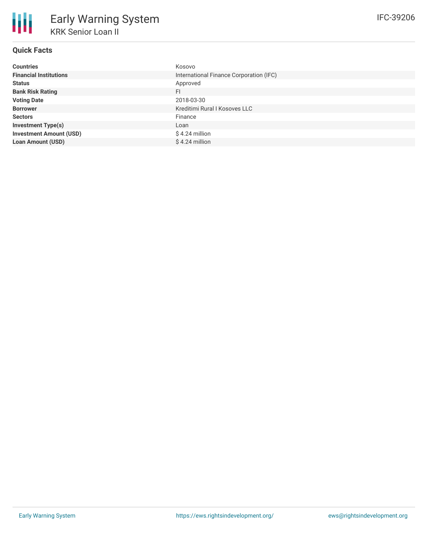# **Quick Facts**

| <b>Countries</b>               | Kosovo                                  |
|--------------------------------|-----------------------------------------|
| <b>Financial Institutions</b>  | International Finance Corporation (IFC) |
| <b>Status</b>                  | Approved                                |
| <b>Bank Risk Rating</b>        | FI                                      |
| <b>Voting Date</b>             | 2018-03-30                              |
| <b>Borrower</b>                | Kreditimi Rural I Kosoves LLC           |
| <b>Sectors</b>                 | Finance                                 |
| <b>Investment Type(s)</b>      | Loan                                    |
| <b>Investment Amount (USD)</b> | \$4.24 million                          |
| <b>Loan Amount (USD)</b>       | \$4.24 million                          |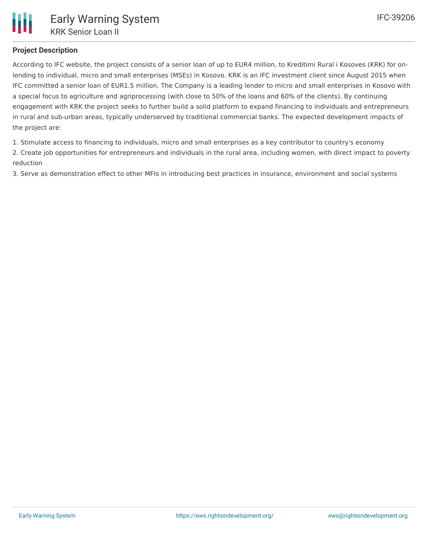# **Project Description**

According to IFC website, the project consists of a senior loan of up to EUR4 million, to Kreditimi Rural i Kosoves (KRK) for onlending to individual, micro and small enterprises (MSEs) in Kosovo. KRK is an IFC investment client since August 2015 when IFC committed a senior loan of EUR1.5 million. The Company is a leading lender to micro and small enterprises in Kosovo with a special focus to agriculture and agriprocessing (with close to 50% of the loans and 60% of the clients). By continuing engagement with KRK the project seeks to further build a solid platform to expand financing to individuals and entrepreneurs in rural and sub-urban areas, typically underserved by traditional commercial banks. The expected development impacts of the project are:

1. Stimulate access to financing to individuals, micro and small enterprises as a key contributor to country's economy

2. Create job opportunities for entrepreneurs and individuals in the rural area, including women, with direct impact to poverty reduction

3. Serve as demonstration effect to other MFIs in introducing best practices in insurance, environment and social systems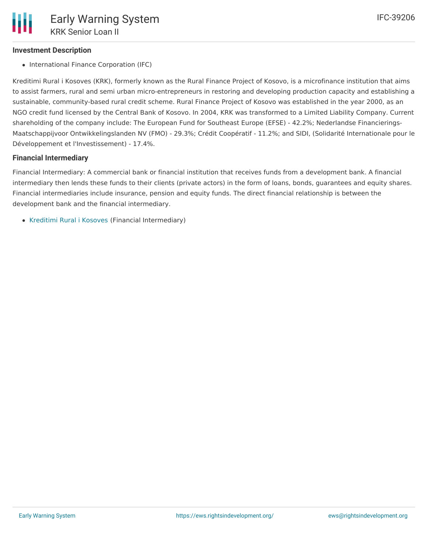## **Investment Description**

• International Finance Corporation (IFC)

Kreditimi Rural i Kosoves (KRK), formerly known as the Rural Finance Project of Kosovo, is a microfinance institution that aims to assist farmers, rural and semi urban micro-entrepreneurs in restoring and developing production capacity and establishing a sustainable, community-based rural credit scheme. Rural Finance Project of Kosovo was established in the year 2000, as an NGO credit fund licensed by the Central Bank of Kosovo. In 2004, KRK was transformed to a Limited Liability Company. Current shareholding of the company include: The European Fund for Southeast Europe (EFSE) - 42.2%; Nederlandse Financierings-Maatschappijvoor Ontwikkelingslanden NV (FMO) - 29.3%; Crédit Coopératif - 11.2%; and SIDI, (Solidarité Internationale pour le Développement et l'Investissement) - 17.4%.

#### **Financial Intermediary**

Financial Intermediary: A commercial bank or financial institution that receives funds from a development bank. A financial intermediary then lends these funds to their clients (private actors) in the form of loans, bonds, guarantees and equity shares. Financial intermediaries include insurance, pension and equity funds. The direct financial relationship is between the development bank and the financial intermediary.

• [Kreditimi](file:///actor/1243/) Rural i Kosoves (Financial Intermediary)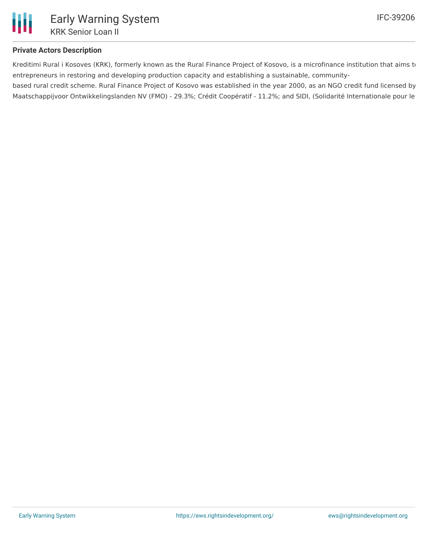

## **Private Actors Description**

Kreditimi Rural i Kosoves (KRK), formerly known as the Rural Finance Project of Kosovo, is a microfinance institution that aims to entrepreneurs in restoring and developing production capacity and establishing a sustainable, community-

based rural credit scheme. Rural Finance Project of Kosovo was established in the year 2000, as an NGO credit fund licensed by Maatschappijvoor Ontwikkelingslanden NV (FMO) - 29.3%; Crédit Coopératif - 11.2%; and SIDI, (Solidarité Internationale pour le